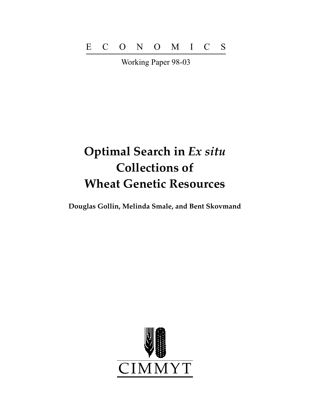Working Paper 98-03

# **Optimal Search in** *Ex situ* **Collections of Wheat Genetic Resources**

**Douglas Gollin, Melinda Smale, and Bent Skovmand**

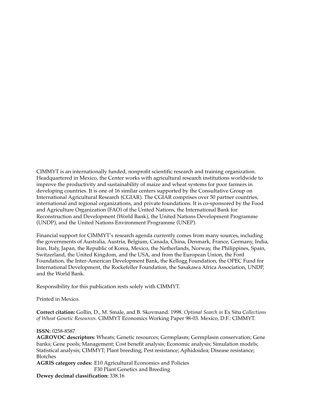CIMMYT is an internationally funded, nonprofit scientific research and training organization. Headquartered in Mexico, the Center works with agricultural research institutions worldwide to improve the productivity and sustainability of maize and wheat systems for poor farmers in developing countries. It is one of 16 similar centers supported by the Consultative Group on International Agricultural Research (CGIAR). The CGIAR comprises over 50 partner countries, international and regional organizations, and private foundations. It is co-sponsored by the Food and Agriculture Organization (FAO) of the United Nations, the International Bank for Reconstruction and Development (World Bank), the United Nations Development Programme (UNDP), and the United Nations Environment Programme (UNEP).

Financial support for CIMMYT's research agenda currently comes from many sources, including the governments of Australia, Austria, Belgium, Canada, China, Denmark, France, Germany, India, Iran, Italy, Japan, the Republic of Korea, Mexico, the Netherlands, Norway, the Philippines, Spain, Switzerland, the United Kingdom, and the USA, and from the European Union, the Ford Foundation, the Inter-American Development Bank, the Kellogg Foundation, the OPEC Fund for International Development, the Rockefeller Foundation, the Sasakawa Africa Association, UNDP, and the World Bank.

Responsibility for this publication rests solely with CIMMYT.

Printed in Mexico.

**Correct citation:** Gollin, D., M. Smale, and B. Skovmand. 1998. *Optimal Search in* Ex Situ *Collections of Wheat Genetic Resources*. CIMMYT Economics Working Paper 98-03. Mexico, D.F.: CIMMYT.

#### **ISSN:** 0258-8587

**AGROVOC descriptors:** Wheats; Genetic resources; Germplasm; Germplasm conservation; Gene banks; Gene pools; Management; Cost benefit analysis; Economic analysis; Simulation models; Statistical analysis; CIMMYT; Plant breeding; Pest resistance; Aphidoidea; Disease resistance; Blotches

**AGRIS category codes:** E10 Agricultural Economics and Policies F30 Plant Genetics and Breeding

**Dewey decimal classification:** 338.16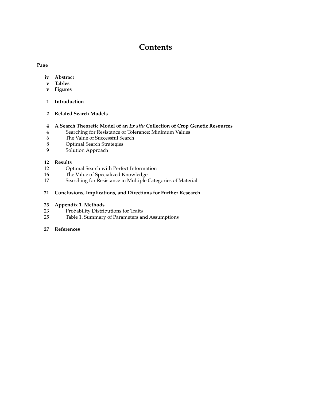# **Contents**

#### **Page**

- **iv Abstract**
- **v Tables**
- **v Figures**
- **1 Introduction**
- **2 Related Search Models**

#### **4 A Search Theoretic Model of an** *Ex situ* **Collection of Crop Genetic Resources**

- 4 Searching for Resistance or Tolerance: Minimum Values
- 6 The Value of Successful Search
- 8 Optimal Search Strategies<br>9 Solution Approach
- Solution Approach

#### **12 Results**

- 12 Optimal Search with Perfect Information
- 16 The Value of Specialized Knowledge
- 17 Searching for Resistance in Multiple Categories of Material

#### **21 Conclusions, Implications, and Directions for Further Research**

#### **23 Appendix 1. Methods**

- 23 Probability Distributions for Traits<br>25 Table 1. Summary of Parameters are
- Table 1. Summary of Parameters and Assumptions

#### **27 References**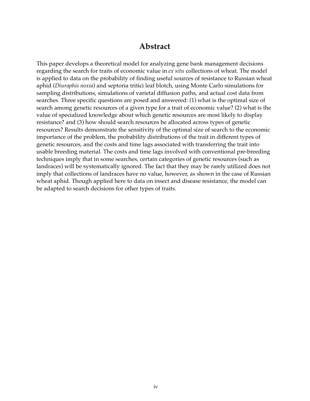## **Abstract**

This paper develops a theoretical model for analyzing gene bank management decisions regarding the search for traits of economic value in *ex situ* collections of wheat. The model is applied to data on the probability of finding useful sources of resistance to Russian wheat aphid (*Diuraphis noxia*) and septoria tritici leaf blotch, using Monte Carlo simulations for sampling distributions, simulations of varietal diffusion paths, and actual cost data from searches. Three specific questions are posed and answered: (1) what is the optimal size of search among genetic resources of a given type for a trait of economic value? (2) what is the value of specialized knowledge about which genetic resources are most likely to display resistance? and (3) how should search resources be allocated across types of genetic resources? Results demonstrate the sensitivity of the optimal size of search to the economic importance of the problem, the probability distributions of the trait in different types of genetic resources, and the costs and time lags associated with transferring the trait into usable breeding material. The costs and time lags involved with conventional pre-breeding techniques imply that in some searches, certain categories of genetic resources (such as landraces) will be systematically ignored. The fact that they may be rarely utilized does not imply that collections of landraces have no value, however, as shown in the case of Russian wheat aphid. Though applied here to data on insect and disease resistance, the model can be adapted to search decisions for other types of traits.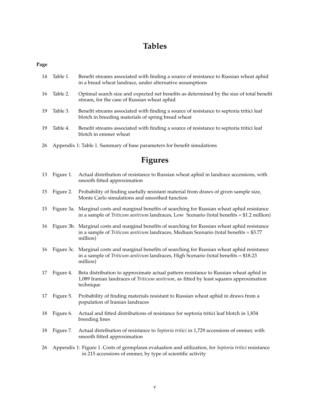# **Tables**

#### **Page**

- 14 Table 1. Benefit streams associated with finding a source of resistance to Russian wheat aphid in a bread wheat landrace, under alternative assumptions
- 16 Table 2. Optimal search size and expected net benefits as determined by the size of total benefit stream, for the case of Russian wheat aphid
- 19 Table 3. Benefit streams associated with finding a source of resistance to septoria tritici leaf blotch in breeding materials of spring bread wheat
- 19 Table 4. Benefit streams associated with finding a source of resistance to septoria tritici leaf blotch in emmer wheat
- 26 Appendix 1: Table 1. Summary of base parameters for benefit simulations

# **Figures**

- 13 Figure 1. Actual distribution of resistance to Russian wheat aphid in landrace accessions, with smooth fitted approximation
- 15 Figure 2. Probability of finding usefully resistant material from draws of given sample size, Monte Carlo simulations and smoothed function
- 15 Figure 3a. Marginal costs and marginal benefits of searching for Russian wheat aphid resistance in a sample of *Triticum aestivum* landraces, Low Scenario (total benefits = \$1.2 million)
- 16 Figure 3b. Marginal costs and marginal benefits of searching for Russian wheat aphid resistance in a sample of *Triticum aestivum* landraces, Medium Scenario (total benefits = \$3.77 million)
- 16 Figure 3c. Marginal costs and marginal benefits of searching for Russian wheat aphid resistance in a sample of *Triticum aestivum* landraces, High Scenario (total benefits = \$18.23 million)
- 17 Figure 4. Beta distribution to approximate actual pattern resistance to Russian wheat aphid in 1,089 Iranian landraces of *Triticum aestivum*, as fitted by least squares approximation technique
- 17 Figure 5. Probability of finding materials resistant to Russian wheat aphid in draws from a population of Iranian landraces
- 18 Figure 6. Actual and fitted distributions of resistance for septoria tritici leaf blotch in 1,834 breeding lines
- 18 Figure 7. Actual distribution of resistance to *Septoria tritici* in 1,729 accessions of emmer, with smooth fitted approximation
- 26 Appendix 1: Figure 1. Costs of germplasm evaluation and utilization, for *Septoria tritici* resistance in 215 accessions of emmer, by type of scientific activity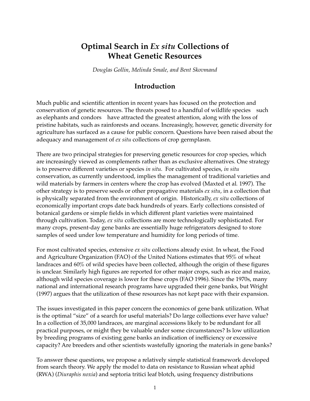# **Optimal Search in** *Ex situ* **Collections of Wheat Genetic Resources**

*Douglas Gollin, Melinda Smale, and Bent Skovmand*

## **Introduction**

Much public and scientific attention in recent years has focused on the protection and conservation of genetic resources. The threats posed to a handful of wildlife species-such as elephants and condors—have attracted the greatest attention, along with the loss of pristine habitats, such as rainforests and oceans. Increasingly, however, genetic diversity for agriculture has surfaced as a cause for public concern. Questions have been raised about the adequacy and management of *ex situ* collections of crop germplasm.

There are two principal strategies for preserving genetic resources for crop species, which are increasingly viewed as complements rather than as exclusive alternatives. One strategy is to preserve different varieties or species *in situ*. For cultivated species, *in situ* conservation, as currently understood, implies the management of traditional varieties and wild materials by farmers in centers where the crop has evolved (Maxted et al*.* 1997). The other strategy is to preserve seeds or other propagative materials *ex situ*, in a collection that is physically separated from the environment of origin. Historically, *ex situ* collections of economically important crops date back hundreds of years. Early collections consisted of botanical gardens or simple fields in which different plant varieties were maintained through cultivation. Today, *ex situ* collections are more technologically sophisticated. For many crops, present-day gene banks are essentially huge refrigerators designed to store samples of seed under low temperature and humidity for long periods of time.

For most cultivated species, extensive *ex situ* collections already exist. In wheat, the Food and Agriculture Organization (FAO) of the United Nations estimates that 95% of wheat landraces and 60% of wild species have been collected, although the origin of these figures is unclear. Similarly high figures are reported for other major crops, such as rice and maize, although wild species coverage is lower for these crops (FAO 1996). Since the 1970s, many national and international research programs have upgraded their gene banks, but Wright (1997) argues that the utilization of these resources has not kept pace with their expansion.

The issues investigated in this paper concern the economics of gene bank utilization. What is the optimal "size" of a search for useful materials? Do large collections ever have value? In a collection of 35,000 landraces, are marginal accessions likely to be redundant for all practical purposes, or might they be valuable under some circumstances? Is low utilization by breeding programs of existing gene banks an indication of inefficiency or excessive capacity? Are breeders and other scientists wastefully ignoring the materials in gene banks?

To answer these questions, we propose a relatively simple statistical framework developed from search theory. We apply the model to data on resistance to Russian wheat aphid (RWA) (*Diuraphis noxia*) and septoria tritici leaf blotch, using frequency distributions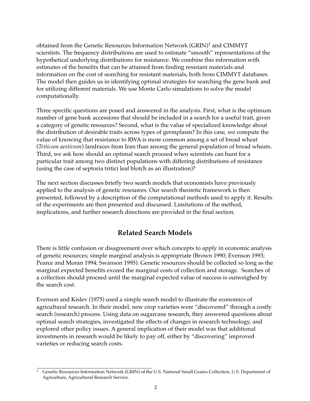obtained from the Genetic Resources Information Network  $(GRIN)^1$  and CIMMYT scientists. The frequency distributions are used to estimate "smooth" representations of the hypothetical underlying distributions for resistance. We combine this information with estimates of the benefits that can be attained from finding resistant materials and information on the cost of searching for resistant materials, both from CIMMYT databases. The model then guides us in identifying optimal strategies for searching the gene bank and for utilizing different materials. We use Monte Carlo simulations to solve the model computationally.

Three specific questions are posed and answered in the analysis. First, what is the optimum number of gene bank accessions that should be included in a search for a useful trait, given a category of genetic resources? Second, what is the value of specialized knowledge about the distribution of desirable traits across types of germplasm? In this case, we compute the value of knowing that resistance to RWA is more common among a set of bread wheat (*Triticum aestivum*) landraces from Iran than among the general population of bread wheats. Third, we ask how should an optimal search proceed when scientists can hunt for a particular trait among two distinct populations with differing distributions of resistance (using the case of septoria tritici leaf blotch as an illustration)?

The next section discusses briefly two search models that economists have previously applied to the analysis of genetic resources. Our search theoretic framework is then presented, followed by a description of the computational methods used to apply it. Results of the experiments are then presented and discussed. Limitations of the method, implications, and further research directions are provided in the final section.

# **Related Search Models**

There is little confusion or disagreement over which concepts to apply in economic analysis of genetic resources; simple marginal analysis is appropriate (Brown 1990; Evenson 1993; Pearce and Moran 1994; Swanson 1995). Genetic resources should be collected so long as the marginal expected benefits exceed the marginal costs of collection and storage. Searches of a collection should proceed until the marginal expected value of success is outweighed by the search cost.

Evenson and Kislev (1975) used a simple search model to illustrate the economics of agricultural research. In their model, new crop varieties were "discovered" through a costly search (research) process. Using data on sugarcane research, they answered questions about optimal search strategies, investigated the effects of changes in research technology, and explored other policy issues. A general implication of their model was that additional investments in research would be likely to pay off, either by "discovering" improved varieties or reducing search costs.

<sup>1</sup> Genetic Resources Information Network (GRIN) of the U.S. National Small Grains Collection, U.S. Department of Agriculture, Agricultural Research Service.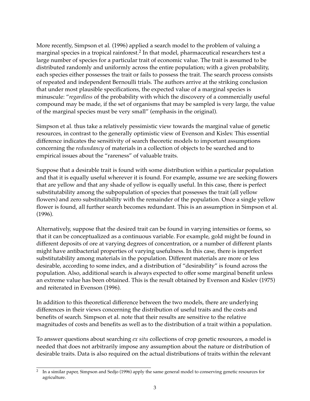More recently, Simpson et al*.* (1996) applied a search model to the problem of valuing a marginal species in a tropical rainforest.<sup>2</sup> In that model, pharmaceutical researchers test a large number of species for a particular trait of economic value. The trait is assumed to be distributed randomly and uniformly across the entire population; with a given probability, each species either possesses the trait or fails to possess the trait. The search process consists of repeated and independent Bernoulli trials. The authors arrive at the striking conclusion that under most plausible specifications, the expected value of a marginal species is minuscule: "*regardless* of the probability with which the discovery of a commercially useful compound may be made, if the set of organisms that may be sampled is very large, the value of the marginal species must be very small" (emphasis in the original).

Simpson et al*.* thus take a relatively pessimistic view towards the marginal value of genetic resources, in contrast to the generally optimistic view of Evenson and Kislev. This essential difference indicates the sensitivity of search theoretic models to important assumptions concerning the *redundancy* of materials in a collection of objects to be searched and to empirical issues about the "rareness" of valuable traits.

Suppose that a desirable trait is found with some distribution within a particular population and that it is equally useful wherever it is found. For example, assume we are seeking flowers that are yellow and that any shade of yellow is equally useful. In this case, there is perfect substitutability among the subpopulation of species that possesses the trait (all yellow flowers) and zero substitutability with the remainder of the population. Once a single yellow flower is found, all further search becomes redundant. This is an assumption in Simpson et al*.* (1996).

Alternatively, suppose that the desired trait can be found in varying intensities or forms, so that it can be conceptualized as a continuous variable. For example, gold might be found in different deposits of ore at varying degrees of concentration, or a number of different plants might have antibacterial properties of varying usefulness. In this case, there is imperfect substitutability among materials in the population. Different materials are more or less desirable, according to some index, and a distribution of "desirability" is found across the population. Also, additional search is always expected to offer some marginal benefit unless an extreme value has been obtained. This is the result obtained by Evenson and Kislev (1975) and reiterated in Evenson (1996).

In addition to this theoretical difference between the two models, there are underlying differences in their views concerning the distribution of useful traits and the costs and benefits of search. Simpson et al. note that their results are sensitive to the relative magnitudes of costs and benefits as well as to the distribution of a trait within a population.

To answer questions about searching *ex situ* collections of crop genetic resources, a model is needed that does not arbitrarily impose any assumption about the nature or distribution of desirable traits. Data is also required on the actual distributions of traits within the relevant

<sup>2</sup> In a similar paper, Simpson and Sedjo (1996) apply the same general model to conserving genetic resources for agriculture.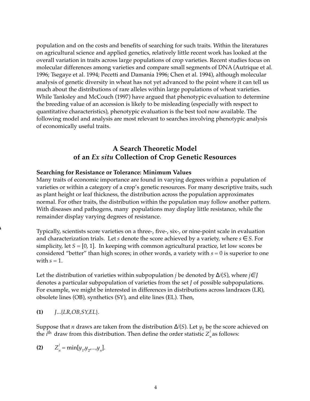population and on the costs and benefits of searching for such traits. Within the literatures on agricultural science and applied genetics, relatively little recent work has looked at the overall variation in traits across large populations of crop varieties. Recent studies focus on molecular differences among varieties and compare small segments of DNA (Autrique et al*.* 1996; Tsegaye et al*.* 1994; Pecetti and Damania 1996; Chen et al*.* 1994), although molecular analysis of genetic diversity in wheat has not yet advanced to the point where it can tell us much about the distributions of rare alleles within large populations of wheat varieties. While Tanksley and McCouch (1997) have argued that phenotypic evaluation to determine the breeding value of an accession is likely to be misleading (especially with respect to quantitative characteristics), phenotypic evaluation is the best tool now available. The following model and analysis are most relevant to searches involving phenotypic analysis of economically useful traits.

# **A Search Theoretic Model of an** *Ex situ* **Collection of Crop Genetic Resources**

#### **Searching for Resistance or Tolerance: Minimum Values**

Many traits of economic importance are found in varying degrees within a population of varieties or within a category of a crop's genetic resources. For many descriptive traits, such as plant height or leaf thickness, the distribution across the population approximates normal. For other traits, the distribution within the population may follow another pattern. With diseases and pathogens, many populations may display little resistance, while the remainder display varying degrees of resistance.

Typically, scientists score varieties on a three-, five-, six-, or nine-point scale in evaluation and characterization trials. Let *s* denote the score achieved by a variety, where  $s \in S$ . For simplicity, let  $S = [0, 1]$ . In keeping with common agricultural practice, let low scores be considered "better" than high scores; in other words, a variety with  $s = 0$  is superior to one with  $s = 1$ .

Let the distribution of varieties within subpopulation *j* be denoted by ∆*<sup>j</sup>* (*S*), where *j*∈ *J* denotes a particular subpopulation of varieties from the set *J* of possible subpopulations. For example, we might be interested in differences in distributions across landraces (LR), obsolete lines (OB), synthetics (SY), and elite lines (EL). Then,

**(1)** *J*...{*LR,OB,SY,EL*}.

∆

Suppose that *n* draws are taken from the distribution  $\Delta^j(S)$ . Let  $y_1$  be the score achieved on the *i*<sup>th</sup> draw from this distribution. Then define the order statistic  $Z_n^j$  as follows:

(2) 
$$
Z_n^j = \min[y_1, y_2, ..., y_n].
$$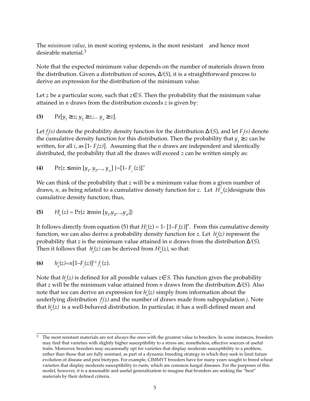The *minimum value*, in most scoring systems, is the most resistant—and hence most desirable material.3

Note that the expected minimum value depends on the number of materials drawn from the distribution. Given a distribution of scores, ∆*<sup>j</sup>* (*S*), it is a straightforward process to derive an expression for the distribution of the minimum value.

Let *z* be a particular score, such that *z*∈ *S*. Then the probability that the minimum value attained in *n* draws from the distribution exceeds *z* is given by:

(3) 
$$
\Pr[y_1 \ge z; y_2 \ge z; ... y_n \ge z].
$$

Let  $f_j$ (s) denote the probability density function for the distribution  $\Delta$ *j*(*S*), and let  $F_j$ (s) denote the cumulative density function for this distribution. Then the probability that  $y_1 \geq z$  can be written, for all *i*, as [1-  $F_j(z)$ ]. Assuming that the *n* draws are independent and identically distributed, the probability that all the draws will exceed *z* can be written simply as:

(4) 
$$
\Pr\{z \leq \min\left[y_1, y_2, ..., y_n\right]\} = [1 - F_j(z)]^n
$$

We can think of the probability that *z* will be a minimum value from a given number of draws, *n*, as being related to a cumulative density function for *z*. Let  $H_n^j(z)$  designate this cumulative density function; thus,

(5) 
$$
H_n^j(z) = \Pr\{z \ge \min \left[ y_{1'} y_{2'} ... , y_{n'} \right] \}
$$

It follows directly from equation (5) that  $H_n^j(z) = 1$ -  $[1-F_j(z)]^n$ . From this cumulative density function, we can also derive a probability density function for *z*. Let  $h_n^j(z)$  represent the probability that *z* is the minimum value attained in *n* draws from the distribution ∆*<sup>j</sup>* (*S*). Then it follows that  $\ h_n^j(z)$  can be derived from  $H_n^j(z)$ , so that:

(6) 
$$
h_n^j(z)=n[1-F_j(z)]^{l-1}f_j(z).
$$

Note that  $h^j_n(z)$  is defined for all possible values  $z\!\in S$ . This function gives the probability that *z* will be the minimum value attained from *n* draws from the distribution ∆*<sup>j</sup>* (*S*)*.* Also note that we can derive an expression for  $h_n^j(z)$  simply from information about the underlying distribution *f j (z)* and the number of draws made from subpopulation *j*. Note that  $h_n'(z)$  is a well-behaved distribution. In particular, it has a well-defined mean and

 $3$  The most resistant materials are not always the ones with the greatest value to breeders. In some instances, breeders may find that varieties with slightly higher susceptibility to a stress are, nonetheless, effective sources of useful traits. Moreover, breeders may occasionally opt for varieties that display moderate susceptibility to a problem, rather than those that are fully resistant, as part of a dynamic breeding strategy in which they seek to limit future evolution of disease and pest biotypes. For example, CIMMYT breeders have for many years sought to breed wheat varieties that display moderate susceptibility to rusts, which are common fungal diseases. For the purposes of this model, however, it is a reasonable and useful generalization to imagine that breeders are seeking the "best" materials by their defined criteria.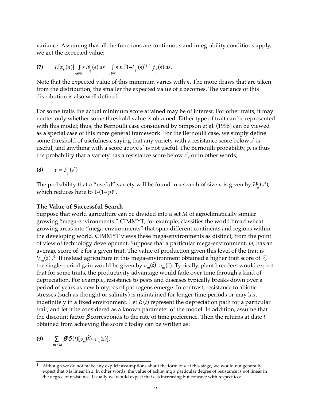variance. Assuming that all the functions are continuous and integrability conditions apply, we get the expected value:

(7) 
$$
E[z_j(n)] = \int_{s \in S} shj(s) ds = \int_{s \in S} s n [1 - F_j(s)]^{l-1} f_j(s) ds.
$$

Note that the expected value of this minimum varies with *n*. The more draws that are taken from the distribution, the smaller the expected value of *z* becomes. The variance of this distribution is also well defined.

For some traits the actual minimum score attained may be of interest. For other traits, it may matter only whether some threshold value is obtained. Either type of trait can be represented with this model; thus, the Bernoulli case considered by Simpson et al*.* (1996) can be viewed as a special case of this more general framework. For the Bernoulli case, we simply define some threshold of usefulness, saying that any variety with a resistance score below *s*\* is useful, and anything with a score above *s\** is not useful. The Bernoulli probability, *p*, is thus the probability that a variety has a resistance score below *s*\* , or in other words,

$$
(8) \qquad p = F_j(s^*)
$$

The probability that a "useful" variety will be found in a search of size  $n$  is given by  $H_{n}^{j}(\boldsymbol{s}^{*})$ , which reduces here to  $1-(1-p)^n$ .

#### **The Value of Successful Search**

Suppose that world agriculture can be divided into a set *M* of agroclimatically similar growing "mega-environments." CIMMYT, for example, classifies the world bread wheat growing areas into "mega-environments" that span different continents and regions within the developing world. CIMMYT views these mega-environments as distinct, from the point of view of technology development. Suppose that a particular mega-environment, *m*, has an average score of  $\overline{z}$  for a given trait. The value of production given this level of the trait is  $V_m(\overline{z})$ .<sup>4</sup> If instead agriculture in this mega-environment obtained a higher trait score of  $\hat{z}$ , the single-period gain would be given by  $v_m(z) - v_m(z)$ . Typically, plant breeders would expect that for some traits, the productivity advantage would fade over time through a kind of depreciation. For example, resistance to pests and diseases typically breaks down over a period of years as new biotypes of pathogens emerge. In contrast, resistance to abiotic stresses (such as drought or salinity) is maintained for longer time periods or may last indefinitely in a fixed environment. Let  $\delta(t)$  represent the depreciation path for a particular trait, and let it be considered as a known parameter of the model. In addition, assume that the discount factor β corresponds to the rate of time preference. Then the returns at date *t* obtained from achieving the score *zˆ* today can be written as:

$$
\textbf{(9)} \qquad \sum_{m \in M} \beta^t \delta\left(t\right) [v_m(\hat{z}) - v_m(\overline{z})].
$$

Although we do not make any explicit assumptions about the form of  $v$  at this stage, we would not generally expect that *v* is linear in *z*. In other words, the value of achieving a particular degree of resistance is not linear in the degree of resistance. Usually we would expect that *v* is increasing but concave with respect to *z*.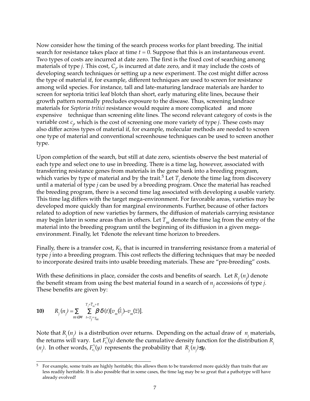Now consider how the timing of the search process works for plant breeding. The initial search for resistance takes place at time *t* = 0. Suppose that this is an instantaneous event. Two types of costs are incurred at date zero. The first is the fixed cost of searching among materials of type *j*. This cost, *Cj* , is incurred at date zero, and it may include the costs of developing search techniques or setting up a new experiment. The cost might differ across the type of material if, for example, different techniques are used to screen for resistance among wild species. For instance, tall and late-maturing landrace materials are harder to screen for septoria tritici leaf blotch than short, early maturing elite lines, because their growth pattern normally precludes exposure to the disease. Thus, screening landrace materials for *Septoria tritici* resistance would require a more complicated—and more expensive—technique than screening elite lines. The second relevant category of costs is the variable cost *cj* , which is the cost of screening one more variety of type *j*. These costs may also differ across types of material if, for example, molecular methods are needed to screen one type of material and conventional screenhouse techniques can be used to screen another type.

Upon completion of the search, but still at date zero, scientists observe the best material of each type and select one to use in breeding. There is a time lag, however, associated with transferring resistance genes from materials in the gene bank into a breeding program, which varies by type of material and by the trait.<sup>5</sup> Let  $T_j$  denote the time lag from discovery until a material of type *j* can be used by a breeding program. Once the material has reached the breeding program, there is a second time lag associated with developing a usable variety. This time lag differs with the target mega-environment. For favorable areas, varieties may be developed more quickly than for marginal environments. Further, because of other factors related to adoption of new varieties by farmers, the diffusion of materials carrying resistance may begin later in some areas than in others. Let  $T_m$  denote the time lag from the entry of the material into the breeding program until the beginning of its diffusion in a given megaenvironment. Finally, let  $\tau$  denote the relevant time horizon to breeders.

Finally, there is a transfer cost, *Kj*, that is incurred in transferring resistance from a material of type *j* into a breeding program. This cost reflects the differing techniques that may be needed to incorporate desired traits into usable breeding materials. These are "pre-breeding" costs.

With these definitions in place, consider the costs and benefits of search. Let  $R_j(n_j)$  denote the benefit stream from using the best material found in a search of *nj* accessions of type *j*. These benefits are given by:

**10)** 
$$
R_{j}(n_{j}) = \sum_{m \in M} \sum_{t=T_{j}+T_{m}}^{T_{j}+T_{m}+r} \beta^{t} \delta(t) [v_{m}(\hat{z}_{j}) - v_{m}(\overline{z})].
$$

Note that  $R_{\stackrel{.}{j}}(n_{\stackrel{.}{j}})$  is a distribution over returns. Depending on the actual draw of  $\;n_{\stackrel{.}{j}}$  materials, the returns will vary. Let  $F_{\!\scriptscriptstyle R_j}^{\scriptscriptstyle\prime\prime\prime}(y)$  denote the cumulative density function for the distribution  $R_{\!\scriptscriptstyle j}$  $(n_j)$ . In other words,  $F_{R_j}^{\prime\prime}(y)$  represents the probability that  $R_j(n_j) \leq y$ .

<sup>5</sup> For example, some traits are highly heritable; this allows them to be transferred more quickly than traits that are less readily heritable. It is also possible that in some cases, the time lag may be so great that a pathotype will have already evolved!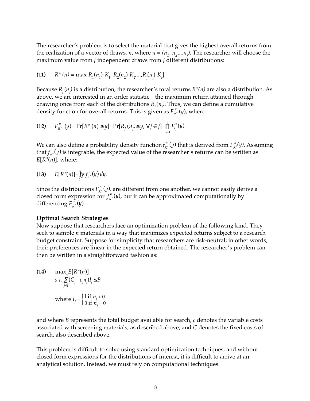The researcher's problem is to select the material that gives the highest overall returns from the realization of a vector of draws*, n,* where  $n = (n_{1},\, n_{2}....n_{j}).$  The researcher will choose the maximum value from *J* independent draws from *J* different distributions:

(11) 
$$
R^*(n) = \max R_1(n_1) - K_1, R_2(n_2) - K_2, ..., R_j(n_j) - K_j
$$
.

Because *Rj* (*nj )* is a distribution, the researcher's total returns *R\*(n)* are also a distribution. As above, we are interested in an order statistic-the maximum return attained through drawing once from each of the distributions *Rj* (*nj )*. Thus, we can define a cumulative density function for overall returns. This is given as  $F_{R^*}^n(y)$ , where:

(12) 
$$
F_{R^*}^n(y) = \Pr[R^*(n) \leq y] = \Pr[R_j(n_j) \leq y, \forall j \in j] = \prod_{j=1}^j F_{R_j}^{n_j}(y).
$$

We can also define a probability density function  $f'_R$  $P^n_{R^*}(y)$  that is derived from  $F^n_{R^*}$ *\* (y)*. Assuming that  $f_R^r$  $n_{\alpha^*}^n(y)$  is integrable, the expected value of the researcher's returns can be written as  $E[R^*(n)]$ , where:

(13) 
$$
E[R^*(n)] = \int_0^r y f_{R^*}^{n}(y) dy.
$$

Since the distributions  $F_{R^*}^n(y)$ , are different from one another, we cannot easily derive a closed form expression for  $f_R^r$ *n \** (*y*), but it can be approximated computationally by differencing  $F_{R^*}^n(y)$ .

#### **Optimal Search Strategies**

Now suppose that researchers face an optimization problem of the following kind. They seek to sample *n* materials in a way that maximizes expected returns subject to a research budget constraint. Suppose for simplicity that researchers are risk-neutral; in other words, their preferences are linear in the expected return obtained. The researcher's problem can then be written in a straightforward fashion as:

(14) 
$$
\max_{n} E[R^*(n)]
$$
  
s.t. 
$$
\sum_{j \in J} (C_j + c_j n_j) I_j \le B
$$
  
where  $I_j = \begin{cases} 1 \text{ if } n_j > 0 \\ 0 \text{ if } n_j = 0 \end{cases}$ 

and where *B* represents the total budget available for search, *c* denotes the variable costs associated with screening materials, as described above, and *C* denotes the fixed costs of search, also described above.

This problem is difficult to solve using standard optimization techniques, and without closed form expressions for the distributions of interest, it is difficult to arrive at an analytical solution. Instead, we must rely on computational techniques.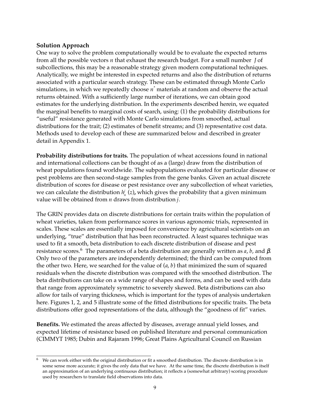## **Solution Approach**

One way to solve the problem computationally would be to evaluate the expected returns from all the possible vectors *n* that exhaust the research budget. For a small number *J* of subcollections, this may be a reasonable strategy given modern computational techniques. Analytically, we might be interested in expected returns and also the distribution of returns associated with a particular search strategy. These can be estimated through Monte Carlo simulations, in which we repeatedly choose *n\** materials at random and observe the actual returns obtained. With a sufficiently large number of iterations, we can obtain good estimates for the underlying distribution. In the experiments described herein, we equated the marginal benefits to marginal costs of search, using: (1) the probability distributions for "useful" resistance generated with Monte Carlo simulations from smoothed, actual distributions for the trait; (2) estimates of benefit streams; and (3) representative cost data. Methods used to develop each of these are summarized below and described in greater detail in Appendix 1.

**Probability distributions for traits.** The population of wheat accessions found in national and international collections can be thought of as a (large) draw from the distribution of wheat populations found worldwide. The subpopulations evaluated for particular disease or pest problems are then second-stage samples from the gene banks. Given an actual discrete distribution of scores for disease or pest resistance over any subcollection of wheat varieties, we can calculate the distribution  $h^j_n\left(z\right)$ , which gives the probability that a given minimum value will be obtained from *n* draws from distribution *j*.

The GRIN provides data on discrete distributions for certain traits within the population of wheat varieties, taken from performance scores in various agronomic trials, represented in scales. These scales are essentially imposed for convenience by agricultural scientists on an underlying, "true" distribution that has been reconstructed. A least squares technique was used to fit a smooth, beta distribution to each discrete distribution of disease and pest resistance scores.<sup>6</sup> The parameters of a beta distribution are generally written as  $a$ ,  $b$ , and  $β$ . Only two of the parameters are independently determined; the third can be computed from the other two. Here, we searched for the value of (*a*, *b*) that minimized the sum of squared residuals when the discrete distribution was compared with the smoothed distribution. The beta distributions can take on a wide range of shapes and forms, and can be used with data that range from approximately symmetric to severely skewed. Beta distributions can also allow for tails of varying thickness, which is important for the types of analysis undertaken here. Figures 1, 2, and 5 illustrate some of the fitted distributions for specific traits. The beta distributions offer good representations of the data, although the "goodness of fit" varies.

**Benefits.** We estimated the areas affected by diseases, average annual yield losses, and expected lifetime of resistance based on published literature and personal communication (CIMMYT 1985; Dubin and Rajaram 1996; Great Plains Agricultural Council on Russian

 $6$  We can work either with the original distribution or fit a smoothed distribution. The discrete distribution is in some sense more accurate; it gives the only data that we have. At the same time, the discrete distribution is itself an approximation of an underlying continuous distribution; it reflects a (somewhat arbitrary) scoring procedure used by researchers to translate field observations into data.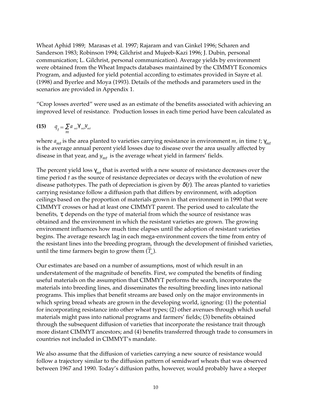Wheat Aphid 1989; Marasas et al*.* 1997; Rajaram and van Ginkel 1996; Scharen and Sanderson 1983; Robinson 1994; Gilchrist and Mujeeb-Kazi 1996; J. Dubin, personal communication; L. Gilchrist, personal communication). Average yields by environment were obtained from the Wheat Impacts databases maintained by the CIMMYT Economics Program, and adjusted for yield potential according to estimates provided in Sayre et al*.* (1998) and Byerlee and Moya (1993). Details of the methods and parameters used in the scenarios are provided in Appendix 1.

"Crop losses averted" were used as an estimate of the benefits associated with achieving an improved level of resistance. Production losses in each time period have been calculated as

$$
(15) \qquad q_t = \sum_{m} a_{m t} \gamma_{m t} y_m
$$

where *amt* is the area planted to varieties carrying resistance in environment *m,* in time *t*; γ*mt* is the average annual percent yield losses due to disease over the area usually affected by disease in that year, and  $y_{mt}$  is the average wheat yield in farmers' fields.

The percent yield loss  $\gamma_{mt}$  that is averted with a new source of resistance decreases over the time period *t* as the source of resistance depreciates or decays with the evolution of new disease pathotypes. The path of depreciation is given by  $\delta(t)$ . The areas planted to varieties carrying resistance follow a diffusion path that differs by environment, with adoption ceilings based on the proportion of materials grown in that environment in 1990 that were CIMMYT crosses or had at least one CIMMYT parent. The period used to calculate the benefits,  $\tau$ , depends on the type of material from which the source of resistance was obtained and the environment in which the resistant varieties are grown. The growing environment influences how much time elapses until the adoption of resistant varieties begins. The average research lag in each mega-environment covers the time from entry of the resistant lines into the breeding program, through the development of finished varieties, until the time farmers begin to grow them  $(\overline{T}_m)$ .

Our estimates are based on a number of assumptions, most of which result in an understatement of the magnitude of benefits. First, we computed the benefits of finding useful materials on the assumption that CIMMYT performs the search, incorporates the materials into breeding lines, and disseminates the resulting breeding lines into national programs. This implies that benefit streams are based only on the major environments in which spring bread wheats are grown in the developing world, ignoring: (1) the potential for incorporating resistance into other wheat types; (2) other avenues through which useful materials might pass into national programs and farmers' fields; (3) benefits obtained through the subsequent diffusion of varieties that incorporate the resistance trait through more distant CIMMYT ancestors; and (4) benefits transferred through trade to consumers in countries not included in CIMMYT's mandate.

We also assume that the diffusion of varieties carrying a new source of resistance would follow a trajectory similar to the diffusion pattern of semidwarf wheats that was observed between 1967 and 1990. Today's diffusion paths, however, would probably have a steeper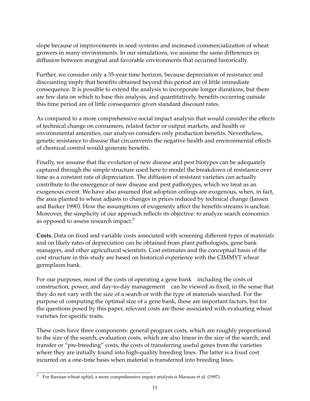slope because of improvements in seed systems and increased commercialization of wheat growers in many environments. In our simulations, we assume the same differences in diffusion between marginal and favorable environments that occurred historically.

Further, we consider only a 35-year time horizon, because depreciation of resistance and discounting imply that benefits obtained beyond this period are of little immediate consequence. It is possible to extend the analysis to incorporate longer durations, but there are few data on which to base this analysis, and quantitatively, benefits occurring outside this time period are of little consequence given standard discount rates.

As compared to a more comprehensive social impact analysis that would consider the effects of technical change on consumers, related factor or output markets, and health or environmental amenities, our analysis considers only production benefits. Nevertheless, genetic resistance to disease that circumvents the negative health and environmental effects of chemical control would generate benefits.

Finally, we assume that the evolution of new disease and pest biotypes can be adequately captured through the simple structure used here to model the breakdown of resistance over time as a constant rate of depreciation. The diffusion of resistant varieties can actually contribute to the emergence of new disease and pest pathotypes, which we treat as an exogenous event. We have also assumed that adoption ceilings are exogenous, when, in fact, the area planted to wheat adjusts to changes in prices induced by technical change (Jansen and Barker 1990). How the assumptions of exogeneity affect the benefits streams is unclear. Moreover, the simplicity of our approach reflects its objective: to analyze search economics as opposed to assess research impact.<sup>7</sup>

**Costs***.* Data on fixed and variable costs associated with screening different types of materials and on likely rates of depreciation can be obtained from plant pathologists, gene bank managers, and other agricultural scientists. Cost estimates and the conceptual basis of the cost structure in this study are based on historical experience with the CIMMYT wheat germplasm bank.

For our purposes, most of the costs of operating a gene bank—including the costs of construction, power, and day-to-day management—can be viewed as fixed, in the sense that they do not vary with the size of a search or with the type of materials searched. For the purpose of computing the optimal size of a gene bank, these are important factors, but for the questions posed by this paper, relevant costs are those associated with evaluating wheat varieties for specific traits.

These costs have three components: general program costs, which are roughly proportional to the size of the search; evaluation costs, which are also linear in the size of the search; and transfer or "pre-breeding" costs, the costs of transferring useful genes from the varieties where they are initially found into high-quality breeding lines. The latter is a fixed cost incurred on a one-time basis when material is transferred into breeding lines.

<sup>7</sup> For Russian wheat aphid, a more comprehensive impact analysis is Marasas et al*.* (1997).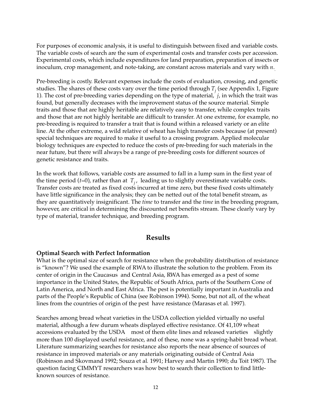For purposes of economic analysis, it is useful to distinguish between fixed and variable costs. The variable costs of search are the sum of experimental costs and transfer costs per accession. Experimental costs, which include expenditures for land preparation, preparation of insects or inoculum, crop management, and note-taking, are constant across materials and vary with *n*. *.*

Pre-breeding is costly. Relevant expenses include the costs of evaluation, crossing, and genetic studies. The shares of these costs vary over the time period through  $T^{}_{j}$  (see Appendix 1, Figure 1). The cost of pre-breeding varies depending on the type of material, *j*, in which the trait was found, but generally decreases with the improvement status of the source material. Simple traits and those that are highly heritable are relatively easy to transfer, while complex traits and those that are not highly heritable are difficult to transfer. At one extreme, for example, no pre-breeding is required to transfer a trait that is found within a released variety or an elite line. At the other extreme, a wild relative of wheat has high transfer costs because (at present) special techniques are required to make it useful to a crossing program. Applied molecular biology techniques are expected to reduce the costs of pre-breeding for such materials in the near future, but there will always be a range of pre-breeding costs for different sources of genetic resistance and traits.

In the work that follows, variable costs are assumed to fall in a lump sum in the first year of the time period ( $t=0$ ), rather than at  $T_i$ , leading us to slightly overestimate variable costs. Transfer costs are treated as fixed costs incurred at time zero, but these fixed costs ultimately have little significance in the analysis; they can be netted out of the total benefit stream, as they are quantitatively insignificant. The *time* to transfer and the *time* in the breeding program, however, are critical in determining the discounted net benefits stream. These clearly vary by type of material, transfer technique, and breeding program.

## **Results**

## **Optimal Search with Perfect Information**

What is the optimal size of search for resistance when the probability distribution of resistance is "known"? We used the example of RWA to illustrate the solution to the problem. From its center of origin in the Caucasus and Central Asia, RWA has emerged as a pest of some importance in the United States, the Republic of South Africa, parts of the Southern Cone of Latin America, and North and East Africa. The pest is potentially important in Australia and parts of the People's Republic of China (see Robinson 1994). Some, but not all, of the wheat lines from the countries of origin of the pest have resistance (Marasas et al*.* 1997).

Searches among bread wheat varieties in the USDA collection yielded virtually no useful material, although a few durum wheats displayed effective resistance. Of 41,109 wheat accessions evaluated by the USDA-most of them elite lines and released varieties-slightly more than 100 displayed useful resistance, and of these, none was a spring-habit bread wheat. Literature summarizing searches for resistance also reports the near absence of sources of resistance in improved materials or any materials originating outside of Central Asia (Robinson and Skovmand 1992; Souza et al*.* 1991; Harvey and Martin 1990; du Toit 1987). The question facing CIMMYT researchers was how best to search their collection to find littleknown sources of resistance.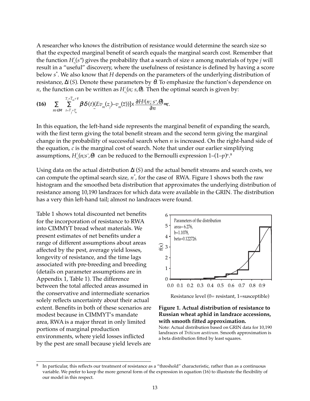A researcher who knows the distribution of resistance would determine the search size so that the expected marginal benefit of search equals the marginal search cost. Remember that the function  $H_{\scriptscriptstyle\rm{inj}}^j(s^*)$  gives the probability that a search of size  $n$  among materials of type  $j$  will result in a "useful" discovery, where the usefulness of resistance is defined by having a score below *s*\* . We also know that *H* depends on the parameters of the underlying distribution of resistance, ∆*<sup>j</sup>* (*S*). Denote these parameters by θ. To emphasize the function's dependence on *n,* the function can be written as  $H_{_{\!\!{\scriptscriptstyle{n}}}}^{\!\!}/\!(n;\,s,\theta)$ . Then the optimal search is given by:

(16) 
$$
\sum_{m \in M} \sum_{t=T_j+T_m \atop t=T_j+T_m}^{T_j+T_m+\tau} \beta^t \delta(t) (Ev_m(z_j)-v_m(\overline{z}))] \times \frac{\partial H^j(n;s^*,\theta)}{\partial n} = c.
$$

In this equation, the left-hand side represents the marginal benefit of expanding the search, with the first term giving the total benefit stream and the second term giving the marginal change in the probability of successful search when *n* is increased. On the right-hand side of the equation, *c* is the marginal cost of search. Note that under our earlier simplifying assumptions,  $H_{n}^{j}(n;s^{*},\theta)$  can be reduced to the Bernoulli expression  $1-(1-p)^{n}.^{\delta}$ 

Using data on the actual distribution ∆*<sup>j</sup>* (*S*) and the actual benefit streams and search costs, we can compute the optimal search size, *n\**, for the case of RWA. Figure 1 shows both the raw histogram and the smoothed beta distribution that approximates the underlying distribution of resistance among 10,190 landraces for which data were available in the GRIN. The distribution has a very thin left-hand tail; almost no landraces were found.

Table 1 shows total discounted net benefits for the incorporation of resistance to RWA into CIMMYT bread wheat materials. We present estimates of net benefits under a range of different assumptions about areas affected by the pest, average yield losses, longevity of resistance, and the time lags associated with pre-breeding and breeding (details on parameter assumptions are in Appendix 1, Table 1). The difference between the total affected areas assumed in the conservative and intermediate scenarios solely reflects uncertainty about their actual extent. Benefits in both of these scenarios are modest because in CIMMYT's mandate area, RWA is a major threat in only limited portions of marginal production environments, where yield losses inflicted by the pest are small because yield levels are



#### **Figure 1. Actual distribution of resistance to Russian wheat aphid in landrace accessions, with smooth fitted approximation.**

Note: Actual distribution based on GRIN data for 10,190 landraces of *Triticum aestivum*. Smooth approximation is

In particular, this reflects our treatment of resistance as a "threshold" characteristic, rather than as a continuous variable. We prefer to keep the more general form of the expression in equation (16) to illustrate the flexibility of our model in this respect.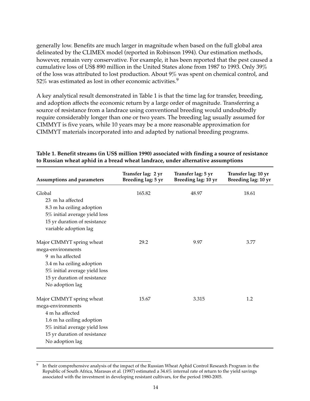generally low. Benefits are much larger in magnitude when based on the full global area delineated by the CLIMEX model (reported in Robinson 1994). Our estimation methods, however, remain very conservative. For example, it has been reported that the pest caused a cumulative loss of US\$ 890 million in the United States alone from 1987 to 1993. Only 39% of the loss was attributed to lost production. About 9% was spent on chemical control, and 52% was estimated as lost in other economic activities.<sup>9</sup>

A key analytical result demonstrated in Table 1 is that the time lag for transfer, breeding, and adoption affects the economic return by a large order of magnitude. Transferring a source of resistance from a landrace using conventional breeding would undoubtedly require considerably longer than one or two years. The breeding lag usually assumed for CIMMYT is five years, while 10 years may be a more reasonable approximation for CIMMYT materials incorporated into and adapted by national breeding programs.

| <b>Assumptions and parameters</b>                                                                                                                                                  | Transfer lag: 2 yr<br>Breeding lag: 5 yr | Transfer lag: 5 yr<br>Breeding lag: 10 yr | Transfer lag: 10 yr<br>Breeding lag: 10 yr |
|------------------------------------------------------------------------------------------------------------------------------------------------------------------------------------|------------------------------------------|-------------------------------------------|--------------------------------------------|
| Global<br>23 m ha affected<br>8.3 m ha ceiling adoption<br>5% initial average yield loss<br>15 yr duration of resistance<br>variable adoption lag                                  | 165.82                                   | 48.97                                     | 18.61                                      |
| Major CIMMYT spring wheat<br>mega-environments<br>9 m ha affected<br>3.4 m ha ceiling adoption<br>5% initial average yield loss<br>15 yr duration of resistance<br>No adoption lag | 29.2                                     | 9.97                                      | 3.77                                       |
| Major CIMMYT spring wheat<br>mega-environments<br>4 m ha affected<br>1.6 m ha ceiling adoption<br>5% initial average yield loss<br>15 yr duration of resistance<br>No adoption lag | 15.67                                    | 3.315                                     | 1.2                                        |

#### **Table 1. Benefit streams (in US\$ million 1990) associated with finding a source of resistance to Russian wheat aphid in a bread wheat landrace, under alternative assumptions**

<sup>&</sup>lt;sup>9</sup> In their comprehensive analysis of the impact of the Russian Wheat Aphid Control Research Program in the Republic of South Africa, Marasas et al*.* (1997) estimated a 34.6% internal rate of return to the yield savings associated with the investment in developing resistant cultivars, for the period 1980-2005.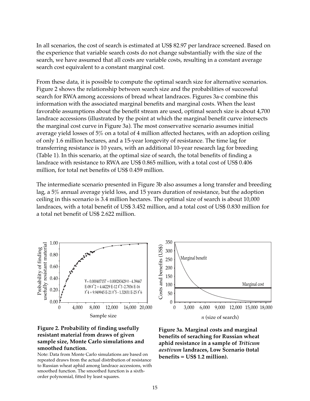In all scenarios, the cost of search is estimated at US\$ 82.97 per landrace screened. Based on the experience that variable search costs do not change substantially with the size of the search, we have assumed that all costs are variable costs, resulting in a constant average search cost equivalent to a constant marginal cost.

From these data, it is possible to compute the optimal search size for alternative scenarios. Figure 2 shows the relationship between search size and the probabilities of successful search for RWA among accessions of bread wheat landraces. Figures 3a-c combine this information with the associated marginal benefits and marginal costs. When the least favorable assumptions about the benefit stream are used, optimal search size is about 4,700 landrace accessions (illustrated by the point at which the marginal benefit curve intersects the marginal cost curve in Figure 3a). The most conservative scenario assumes initial average yield losses of 5% on a total of 4 million affected hectares, with an adoption ceiling of only 1.6 million hectares, and a 15-year longevity of resistance. The time lag for transferring resistance is 10 years, with an additional 10-year research lag for breeding (Table 1). In this scenario, at the optimal size of search, the total benefits of finding a landrace with resistance to RWA are US\$ 0.865 million, with a total cost of US\$ 0.406 million, for total net benefits of US\$ 0.459 million.

The intermediate scenario presented in Figure 3b also assumes a long transfer and breeding lag, a 5% annual average yield loss, and 15 years duration of resistance, but the adoption ceiling in this scenario is 3.4 million hectares. The optimal size of search is about 10,000 landraces, with a total benefit of US\$ 3.452 million, and a total cost of US\$ 0.830 million for a total net benefit of US\$ 2.622 million.



#### **Figure 2. Probability of finding usefully resistant material from draws of given sample size, Monte Carlo simulations and smoothed function.**

Note: Data from Monte Carlo simulations are based on repeated draws from the actual distribution of resistance to Russian wheat aphid among landrace accessions, with smoothed function. The smoothed function is a sixth-



**Figure 3a. Marginal costs and marginal benefits of seraching for Russian wheat aphid resistance in a sample of** *Triticum aestivum* **landraces, Low Scenario (total**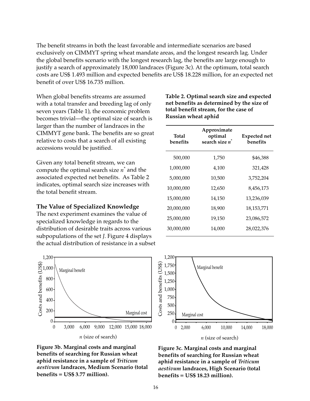The benefit streams in both the least favorable and intermediate scenarios are based exclusively on CIMMYT spring wheat mandate areas, and the longest research lag. Under the global benefits scenario with the longest research lag, the benefits are large enough to justify a search of approximately 18,000 landraces (Figure 3c). At the optimum, total search costs are US\$ 1.493 million and expected benefits are US\$ 18.228 million, for an expected net benefit of over US\$ 16.735 million.

When global benefits streams are assumed with a total transfer and breeding lag of only seven years (Table 1), the economic problem becomes trivial—the optimal size of search is larger than the number of landraces in the CIMMYT gene bank. The benefits are so great relative to costs that a search of all existing accessions would be justified.

Given any total benefit stream, we can compute the optimal search size *n*\* and the associated expected net benefits. As Table 2 indicates, optimal search size increases with the total benefit stream.

#### **The Value of Specialized Knowledge**

The next experiment examines the value of specialized knowledge in regards to the distribution of desirable traits across various subpopulations of the set *J*. Figure 4 displays the actual distribution of resistance in a subset



**Figure 3b. Marginal costs and marginal benefits of searching for Russian wheat aphid resistance in a sample of** *Triticum aestivum* **landraces, Medium Scenario (total**

| Table 2. Optimal search size and expected |
|-------------------------------------------|
| net benefits as determined by the size of |
| total benefit stream, for the case of     |
| Russian wheat aphid                       |

| Total<br>benefits | Approximate<br>optimal<br>search size n <sup>'</sup> | <b>Expected net</b><br>benefits |
|-------------------|------------------------------------------------------|---------------------------------|
| 500,000           | 1,750                                                | \$46,388                        |
| 1,000,000         | 4,100                                                | 321,428                         |
| 5,000,000         | 10,500                                               | 3,752,204                       |
| 10,000,000        | 12,650                                               | 8,456,173                       |
| 15,000,000        | 14,150                                               | 13,236,039                      |
| 20,000,000        | 18,900                                               | 18, 153, 771                    |
| 25,000,000        | 19,150                                               | 23,086,572                      |
| 30,000,000        | 14,000                                               | 28,022,376                      |



**Figure 3c. Marginal costs and marginal benefits of searching for Russian wheat aphid resistance in a sample of** *Triticum aestivum* **landraces, High Scenario (total**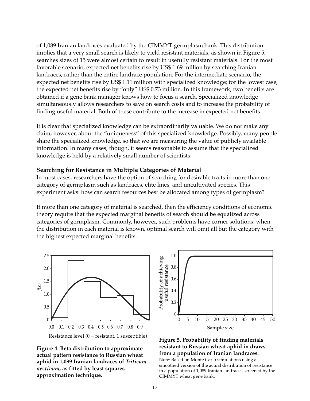of 1,089 Iranian landraces evaluated by the CIMMYT germplasm bank. This distribution implies that a very small search is likely to yield resistant materials; as shown in Figure 5, searches sizes of 15 were almost certain to result in usefully resistant materials. For the most favorable scenario, expected net benefits rise by US\$ 1.69 million by searching Iranian landraces, rather than the entire landrace population. For the intermediate scenario, the expected net benefits rise by US\$ 1.11 million with specialized knowledge; for the lowest case, the expected net benefits rise by "only" US\$ 0.73 million. In this framework, two benefits are obtained if a gene bank manager knows how to focus a search. Specialized knowledge simultaneously allows researchers to save on search costs and to increase the probability of finding useful material. Both of these contribute to the increase in expected net benefits.

It is clear that specialized knowledge can be extraordinarily valuable. We do not make any claim, however, about the "uniqueness" of this specialized knowledge. Possibly, many people share the specialized knowledge, so that we are measuring the value of publicly available information. In many cases, though, it seems reasonable to assume that the specialized knowledge is held by a relatively small number of scientists.

## **Searching for Resistance in Multiple Categories of Material**

In most cases, researchers have the option of searching for desirable traits in more than one category of germplasm such as landraces, elite lines, and uncultivated species. This experiment asks: how can search resources best be allocated among types of germplasm?

If more than one category of material is searched, then the efficiency conditions of economic theory require that the expected marginal benefits of search should be equalized across categories of germplasm. Commonly, however, such problems have corner solutions: when the distribution in each material is known, optimal search will omit all but the category with the highest expected marginal benefits.







#### **Figure 5. Probability of finding materials resistant to Russian wheat aphid in draws from a population of Iranian landraces.**

Note: Based on Monte Carlo simulations using a smoothed version of the actual distribution of resistance in a population of 1,089 Iranian landraces screened by the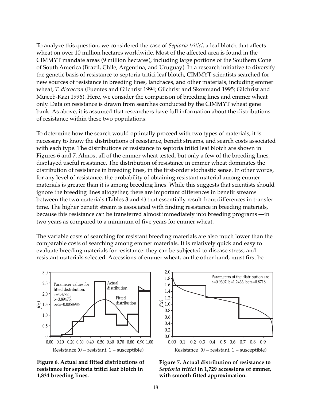To analyze this question, we considered the case of *Septoria tritici*, a leaf blotch that affects wheat on over 10 million hectares worldwide. Most of the affected area is found in the CIMMYT mandate areas (9 million hectares), including large portions of the Southern Cone of South America (Brazil, Chile, Argentina, and Uruguay). In a research initiative to diversify the genetic basis of resistance to septoria tritici leaf blotch, CIMMYT scientists searched for new sources of resistance in breeding lines, landraces, and other materials, including emmer wheat, *T. diccoccon* (Fuentes and Gilchrist 1994; Gilchrist and Skovmand 1995; Gilchrist and Mujeeb-Kazi 1996). Here, we consider the comparison of breeding lines and emmer wheat only. Data on resistance is drawn from searches conducted by the CIMMYT wheat gene bank. As above, it is assumed that researchers have full information about the distributions of resistance within these two populations.

To determine how the search would optimally proceed with two types of materials, it is necessary to know the distributions of resistance, benefit streams, and search costs associated with each type. The distributions of resistance to septoria tritici leaf blotch are shown in Figures 6 and 7. Almost all of the emmer wheat tested, but only a few of the breeding lines, displayed useful resistance. The distribution of resistance in emmer wheat dominates the distribution of resistance in breeding lines, in the first-order stochastic sense. In other words, for any level of resistance, the probability of obtaining resistant material among emmer materials is greater than it is among breeding lines. While this suggests that scientists should ignore the breeding lines altogether, there are important differences in benefit streams between the two materials (Tables 3 and 4) that essentially result from differences in transfer time. The higher benefit stream is associated with finding resistance in breeding materials, because this resistance can be transferred almost immediately into breeding programs —in two years as compared to a minimum of five years for emmer wheat.

The variable costs of searching for resistant breeding materials are also much lower than the comparable costs of searching among emmer materials. It is relatively quick and easy to evaluate breeding materials for resistance: they can be subjected to disease stress, and resistant materials selected. Accessions of emmer wheat, on the other hand, must first be



**Figure 6. Actual and fitted distributions of resistance for septoria tritici leaf blotch in**



**Figure 7. Actual distribution of resistance to** *Septoria tritici* **in 1,729 accessions of emmer,**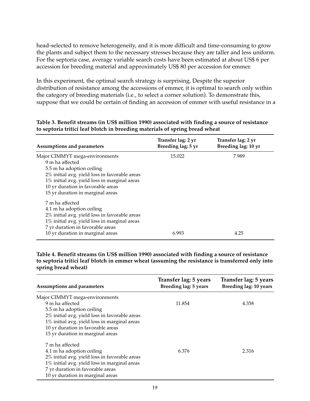head-selected to remove heterogeneity, and it is more difficult and time-consuming to grow the plants and subject them to the necessary stresses because they are taller and less uniform. For the septoria case, average variable search costs have been estimated at about US\$ 6 per accession for breeding material and approximately US\$ 80 per accession for emmer.

In this experiment, the optimal search strategy is surprising. Despite the superior distribution of resistance among the accessions of emmer, it is optimal to search only within the category of breeding materials (i.e*.*, to select a corner solution). To demonstrate this, suppose that we could be certain of finding an accession of emmer with useful resistance in a

| Assumptions and parameters                                                                                                                                                                                                                               | Transfer lag: 2 yr<br>Breeding lag: 5 yr | Transfer lag: 2 yr<br>Breeding lag: 10 yr |
|----------------------------------------------------------------------------------------------------------------------------------------------------------------------------------------------------------------------------------------------------------|------------------------------------------|-------------------------------------------|
| Major CIMMYT mega-environments<br>9 m ha affected<br>5.5 m ha adoption ceiling<br>2% initial avg. yield loss in favorable areas<br>1% initial avg. yield loss in marginal areas<br>10 yr duration in favorable areas<br>15 yr duration in marginal areas | 15.022                                   | 7.989                                     |
| 7 m ha affected<br>4.1 m ha adoption ceiling<br>2% initial avg. yield loss in favorable areas<br>1% initial avg. yield loss in marginal areas<br>7 yr duration in favorable areas<br>10 yr duration in marginal areas                                    | 6.993                                    | 4.25                                      |

## **Table 3. Benefit streams (in US\$ million 1990) associated with finding a source of resistance to septoria tritici leaf blotch in breeding materials of spring bread wheat**

**Table 4. Benefit streams (in US\$ million 1990) associated with finding a source of resistance to septoria tritici leaf blotch in emmer wheat (assuming the resistance is transferred only into spring bread wheat)**

| <b>Assumptions and parameters</b>             | Transfer lag: 5 years<br>Breeding lag: 5 years | Transfer lag: 5 years<br>Breeding lag: 10 years |
|-----------------------------------------------|------------------------------------------------|-------------------------------------------------|
| Major CIMMYT mega-environments                |                                                |                                                 |
| 9 m ha affected                               | 11.854                                         | 4.358                                           |
| 5.5 m ha adoption ceiling                     |                                                |                                                 |
| 2% initial avg. yield loss in favorable areas |                                                |                                                 |
| 1% initial avg. yield loss in marginal areas  |                                                |                                                 |
| 10 yr duration in favorable areas             |                                                |                                                 |
| 15 yr duration in marginal areas              |                                                |                                                 |
| 7 m ha affected                               |                                                |                                                 |
| 4.1 m ha adoption ceiling                     | 6.376                                          | 2.316                                           |
| 2% initial avg. yield loss in favorable areas |                                                |                                                 |
| 1% initial avg. yield loss in marginal areas  |                                                |                                                 |
| 7 yr duration in favorable areas              |                                                |                                                 |
| 10 yr duration in marginal areas              |                                                |                                                 |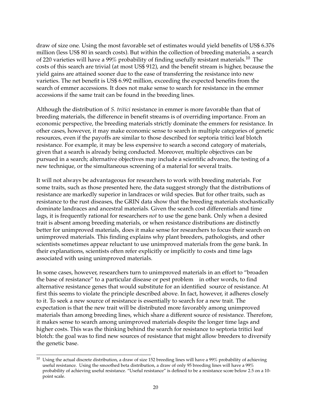draw of size one. Using the most favorable set of estimates would yield benefits of US\$ 6.376 million (less US\$ 80 in search costs). But within the collection of breeding materials, a search of 220 varieties will have a 99% probability of finding usefully resistant materials.<sup>10</sup> The costs of this search are trivial (at most US\$ 912), and the benefit stream is higher, because the yield gains are attained sooner due to the ease of transferring the resistance into new varieties. The net benefit is US\$ 6.992 million, exceeding the expected benefits from the search of emmer accessions. It does not make sense to search for resistance in the emmer accessions if the same trait can be found in the breeding lines.

Although the distribution of *S. tritici* resistance in emmer is more favorable than that of breeding materials, the difference in benefit streams is of overriding importance. From an economic perspective, the breeding materials strictly dominate the emmers for resistance. In other cases, however, it may make economic sense to search in multiple categories of genetic resources, even if the payoffs are similar to those described for septoria tritici leaf blotch resistance. For example, it may be less expensive to search a second category of materials, given that a search is already being conducted. Moreover, multiple objectives can be pursued in a search; alternative objectives may include a scientific advance, the testing of a new technique, or the simultaneous screening of a material for several traits.

It will not always be advantageous for researchers to work with breeding materials. For some traits, such as those presented here, the data suggest strongly that the distributions of resistance are markedly superior in landraces or wild species. But for other traits, such as resistance to the rust diseases, the GRIN data show that the breeding materials stochastically dominate landraces and ancestral materials. Given the search cost differentials and time lags, it is frequently rational for researchers *not* to use the gene bank. Only when a desired trait is absent among breeding materials, or when resistance distributions are distinctly better for unimproved materials, does it make sense for researchers to focus their search on unimproved materials. This finding explains why plant breeders, pathologists, and other scientists sometimes appear reluctant to use unimproved materials from the gene bank. In their explanations, scientists often refer explicitly or implicitly to costs and time lags associated with using unimproved materials.

In some cases, however, researchers turn to unimproved materials in an effort to "broaden the base of resistance" to a particular disease or pest problem—in other words, to find alternative resistance genes that would substitute for an identified source of resistance. At first this seems to violate the principle described above. In fact, however, it adheres closely to it. To seek a new source of resistance is essentially to search for a new trait. The expectation is that the new trait will be distributed more favorably among unimproved materials than among breeding lines, which share a different source of resistance. Therefore, it makes sense to search among unimproved materials despite the longer time lags and higher costs. This was the thinking behind the search for resistance to septoria tritici leaf blotch: the goal was to find new sources of resistance that might allow breeders to diversify the genetic base.

 $10$  Using the actual discrete distribution, a draw of size 152 breeding lines will have a 99% probability of achieving useful resistance. Using the smoothed beta distribution, a draw of only 95 breeding lines will have a 99% probability of achieving useful resistance. "Useful resistance" is defined to be a resistance score below 2.5 on a 10 point scale.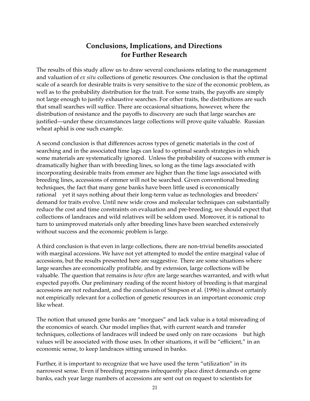# **Conclusions, Implications, and Directions for Further Research**

The results of this study allow us to draw several conclusions relating to the management and valuation of *ex situ* collections of genetic resources. One conclusion is that the optimal scale of a search for desirable traits is very sensitive to the size of the economic problem, as well as to the probability distribution for the trait. For some traits, the payoffs are simply not large enough to justify exhaustive searches. For other traits, the distributions are such that small searches will suffice. There are occasional situations, however, where the distribution of resistance and the payoffs to discovery are such that large searches are justified—under these circumstances large collections will prove quite valuable. Russian wheat aphid is one such example.

A second conclusion is that differences across types of genetic materials in the cost of searching and in the associated time lags can lead to optimal search strategies in which some materials are systematically ignored. Unless the probability of success with emmer is dramatically higher than with breeding lines, so long as the time lags associated with incorporating desirable traits from emmer are higher than the time lags associated with breeding lines, accessions of emmer will not be searched. Given conventional breeding techniques, the fact that many gene banks have been little used is economically rational—yet it says nothing about their long-term value as technologies and breeders' demand for traits evolve. Until new wide cross and molecular techniques can substantially reduce the cost and time constraints on evaluation and pre-breeding, we should expect that collections of landraces and wild relatives will be seldom used. Moreover, it is rational to turn to unimproved materials only after breeding lines have been searched extensively without success and the economic problem is large.

A third conclusion is that even in large collections, there are non-trivial benefits associated with marginal accessions. We have not yet attempted to model the entire marginal value of accessions, but the results presented here are suggestive. There are some situations where large searches are economically profitable, and by extension, large collections will be valuable. The question that remains is *how often* are large searches warranted, and with what expected payoffs. Our preliminary reading of the recent history of breeding is that marginal accessions are not redundant, and the conclusion of Simpson et al*.* (1996) is almost certainly not empirically relevant for a collection of genetic resources in an important economic crop like wheat.

The notion that unused gene banks are "morgues" and lack value is a total misreading of the economics of search. Our model implies that, with current search and transfer techniques, collections of landraces will indeed be used only on rare occasions—but high values will be associated with those uses. In other situations, it will be "efficient," in an economic sense, to keep landraces sitting unused in banks.

Further, it is important to recognize that we have used the term "utilization" in its narrowest sense. Even if breeding programs infrequently place direct demands on gene banks, each year large numbers of accessions are sent out on request to scientists for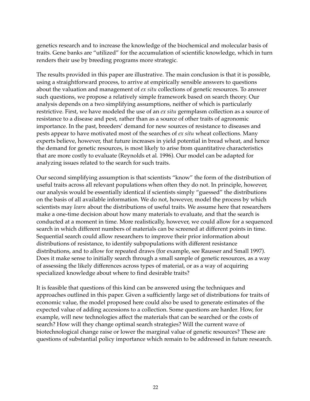genetics research and to increase the knowledge of the biochemical and molecular basis of traits. Gene banks are "utilized" for the accumulation of scientific knowledge, which in turn renders their use by breeding programs more strategic.

The results provided in this paper are illustrative. The main conclusion is that it is possible, using a straightforward process, to arrive at empirically sensible answers to questions about the valuation and management of *ex situ* collections of genetic resources. To answer such questions, we propose a relatively simple framework based on search theory. Our analysis depends on a two simplifying assumptions, neither of which is particularly restrictive. First, we have modeled the use of an *ex situ* germplasm collection as a source of resistance to a disease and pest, rather than as a source of other traits of agronomic importance. In the past, breeders' demand for new sources of resistance to diseases and pests appear to have motivated most of the searches of *ex situ* wheat collections. Many experts believe, however, that future increases in yield potential in bread wheat, and hence the demand for genetic resources, is most likely to arise from quantitative characteristics that are more costly to evaluate (Reynolds et al*.* 1996). Our model can be adapted for analyzing issues related to the search for such traits.

Our second simplifying assumption is that scientists "know" the form of the distribution of useful traits across all relevant populations when often they do not. In principle, however, our analysis would be essentially identical if scientists simply "guessed" the distributions on the basis of all available information. We do not, however, model the process by which scientists may *learn* about the distributions of useful traits. We assume here that researchers make a one-time decision about how many materials to evaluate, and that the search is conducted at a moment in time. More realistically, however, we could allow for a sequenced search in which different numbers of materials can be screened at different points in time. Sequential search could allow researchers to improve their prior information about distributions of resistance, to identify subpopulations with different resistance distributions, and to allow for repeated draws (for example, see Rausser and Small 1997). Does it make sense to initially search through a small sample of genetic resources, as a way of assessing the likely differences across types of material, or as a way of acquiring specialized knowledge about where to find desirable traits?

It is feasible that questions of this kind can be answered using the techniques and approaches outlined in this paper. Given a sufficiently large set of distributions for traits of economic value, the model proposed here could also be used to generate estimates of the expected value of adding accessions to a collection. Some questions are harder. How, for example, will new technologies affect the materials that can be searched or the costs of search? How will they change optimal search strategies? Will the current wave of biotechnological change raise or lower the marginal value of genetic resources? These are questions of substantial policy importance which remain to be addressed in future research.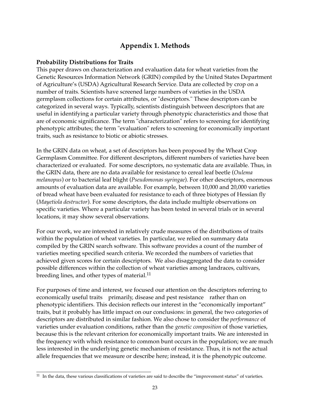# **Appendix 1. Methods**

## **Probability Distributions for Traits**

This paper draws on characterization and evaluation data for wheat varieties from the Genetic Resources Information Network (GRIN) compiled by the United States Department of Agriculture's (USDA) Agricultural Research Service. Data are collected by crop on a number of traits. Scientists have screened large numbers of varieties in the USDA germplasm collections for certain attributes, or "descriptors." These descriptors can be categorized in several ways. Typically, scientists distinguish between descriptors that are useful in identifying a particular variety through phenotypic characteristics and those that are of economic significance. The term "characterization" refers to screening for identifying phenotypic attributes; the term "evaluation" refers to screening for economically important traits, such as resistance to biotic or abiotic stresses.

In the GRIN data on wheat, a set of descriptors has been proposed by the Wheat Crop Germplasm Committee. For different descriptors, different numbers of varieties have been characterized or evaluated. For some descriptors, no systematic data are available. Thus, in the GRIN data, there are no data available for resistance to cereal leaf beetle (*Oulema melanopus*) or to bacterial leaf blight (*Pseudomonas syringae*). For other descriptors, enormous amounts of evaluation data are available. For example, between 10,000 and 20,000 varieties of bread wheat have been evaluated for resistance to each of three biotypes of Hessian fly (*Mayetiola destructor*). For some descriptors, the data include multiple observations on specific varieties. Where a particular variety has been tested in several trials or in several locations, it may show several observations.

For our work, we are interested in relatively crude measures of the distributions of traits within the population of wheat varieties. In particular, we relied on summary data compiled by the GRIN search software. This software provides a count of the number of varieties meeting specified search criteria. We recorded the numbers of varieties that achieved given scores for certain descriptors. We also disaggregated the data to consider possible differences within the collection of wheat varieties among landraces, cultivars, breeding lines, and other types of material.<sup>11</sup>

For purposes of time and interest, we focused our attention on the descriptors referring to economically useful traits—primarily, disease and pest resistance—rather than on phenotypic identifiers. This decision reflects our interest in the "economically important" traits, but it probably has little impact on our conclusions: in general, the two categories of descriptors are distributed in similar fashion. We also chose to consider the *performance* of varieties under evaluation conditions, rather than the *genetic composition* of those varieties, because this is the relevant criterion for economically important traits. We are interested in the frequency with which resistance to common bunt occurs in the population; we are much less interested in the underlying genetic mechanism of resistance. Thus, it is not the actual allele frequencies that we measure or describe here; instead, it is the phenotypic outcome.

 $11$  In the data, these various classifications of varieties are said to describe the "improvement status" of varieties.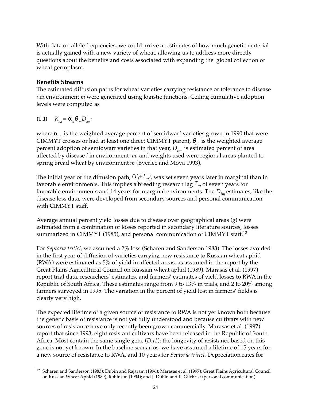With data on allele frequencies, we could arrive at estimates of how much genetic material is actually gained with a new variety of wheat, allowing us to address more directly questions about the benefits and costs associated with expanding the global collection of wheat germplasm.

## **Benefits Streams**

The estimated diffusion paths for wheat varieties carrying resistance or tolerance to disease *i* in environment *m* were generated using logistic functions. Ceiling cumulative adoption levels were computed as

$$
(1.1) \tK_{im} = \alpha_m \theta_m D_{im'}
$$

where  $\alpha_m$  is the weighted average percent of semidwarf varieties grown in 1990 that were CIMMYT crosses or had at least one direct CIMMYT parent, θ*m* is the weighted average percent adoption of semidwarf varieties in that year, *Dim* is estimated percent of area affected by disease *i* in environment *m,* and weights used were regional areas planted to spring bread wheat by environment *m* (Byerlee and Moya 1993).

The initial year of the diffusion path*,*  $(T_{\vec{j}}+\overline{T}_m)$ , was set seven years later in marginal than in favorable environments. This implies a breeding research lag *T – <sup>m</sup>* of seven years for favorable environments and 14 years for marginal environments. The *Dim* estimates, like the disease loss data, were developed from secondary sources and personal communication with CIMMYT staff.

Average annual percent yield losses due to disease over geographical areas (*g*) were estimated from a combination of losses reported in secondary literature sources, losses summarized in CIMMYT (1985), and personal communication of CIMMYT staff.<sup>12</sup>

For *Septoria tritici,* we assumed a 2% loss (Scharen and Sanderson 1983). The losses avoided in the first year of diffusion of varieties carrying new resistance to Russian wheat aphid (RWA) were estimated as 5% of yield in affected areas, as assumed in the report by the Great Plains Agricultural Council on Russian wheat aphid (1989). Marasas et al*.* (1997) report trial data, researchers' estimates, and farmers' estimates of yield losses to RWA in the Republic of South Africa. These estimates range from 9 to 13% in trials, and 2 to 20% among farmers surveyed in 1995. The variation in the percent of yield lost in farmers' fields is clearly very high.

The expected lifetime of a given source of resistance to RWA is not yet known both because the genetic basis of resistance is not yet fully understood and because cultivars with new sources of resistance have only recently been grown commercially. Marasas et al*.* (1997) report that since 1993, eight resistant cultivars have been released in the Republic of South Africa. Most contain the same single gene (*Dn1*); the longevity of resistance based on this gene is not yet known. In the baseline scenarios, we have assumed a lifetime of 15 years for a new source of resistance to RWA, and 10 years for *Septoria tritici*. Depreciation rates for

<sup>12</sup> Scharen and Sanderson (1983); Dubin and Rajaram (1996); Marasas et al. (1997); Great Plains Agricultural Council on Russian Wheat Aphid (1989); Robinson (1994); and J. Dubin and L. Gilchrist (personal communication).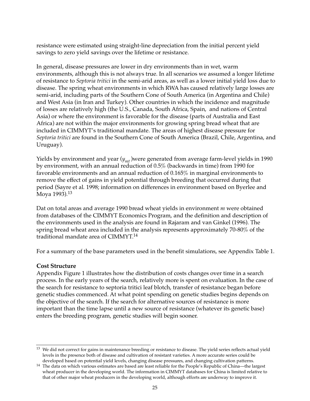resistance were estimated using straight-line depreciation from the initial percent yield savings to zero yield savings over the lifetime or resistance.

In general, disease pressures are lower in dry environments than in wet, warm environments, although this is not always true. In all scenarios we assumed a longer lifetime of resistance to *Septoria tritici* in the semi-arid areas, as well as a lower initial yield loss due to disease. The spring wheat environments in which RWA has caused relatively large losses are semi-arid, including parts of the Southern Cone of South America (in Argentina and Chile) and West Asia (in Iran and Turkey). Other countries in which the incidence and magnitude of losses are relatively high (the U.S., Canada, South Africa, Spain, and nations of Central Asia) or where the environment is favorable for the disease (parts of Australia and East Africa) are not within the major environments for growing spring bread wheat that are included in CIMMYT's traditional mandate. The areas of highest disease pressure for *Septoria tritici* are found in the Southern Cone of South America (Brazil, Chile, Argentina, and Uruguay).

Yields by environment and year ( $y_{mt}$ )were generated from average farm-level yields in 1990 by environment, with an annual reduction of 0.5% (backwards in time) from 1990 for favorable environments and an annual reduction of 0.165% in marginal environments to remove the effect of gains in yield potential through breeding that occurred during that period (Sayre et al*.* 1998; information on differences in environment based on Byerlee and Moya 1993).<sup>13</sup>

Dat on total areas and average 1990 bread wheat yields in environment *m* were obtained from databases of the CIMMYT Economics Program, and the definition and description of the environments used in the analysis are found in Rajaram and van Ginkel (1996). The spring bread wheat area included in the analysis represents approximately 70-80% of the traditional mandate area of CIMMYT.14

For a summary of the base parameters used in the benefit simulations, see Appendix Table 1.

## **Cost Structure**

Appendix Figure 1 illustrates how the distribution of costs changes over time in a search process. In the early years of the search, relatively more is spent on evaluation. In the case of the search for resistance to septoria tritici leaf blotch, transfer of resistance began before genetic studies commenced. At what point spending on genetic studies begins depends on the objective of the search. If the search for alternative sources of resistance is more important than the time lapse until a new source of resistance (whatever its genetic base) enters the breeding program, genetic studies will begin sooner.

<sup>&</sup>lt;sup>13</sup> We did not correct for gains in maintenance breeding or resistance to disease. The yield series reflects actual yield levels in the presence both of disease and cultivation of resistant varieties. A more accurate series could be developed based on potential yield levels, changing disease pressures, and changing cultivation patterns.

<sup>&</sup>lt;sup>14</sup> The data on which various estimates are based are least reliable for the People's Republic of China—the largest wheat producer in the developing world. The information in CIMMYT databases for China is limited relative to that of other major wheat producers in the developing world, although efforts are underway to improve it.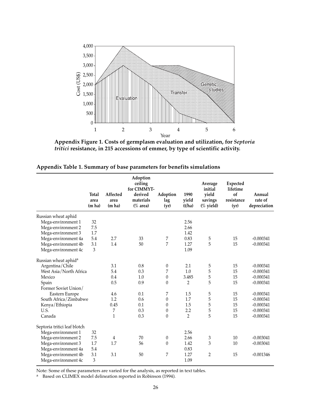

**Appendix Figure 1. Costs of germplasm evaluation and utilization, for** *Septoria tritici* **resistance, in 215 accessions of emmer, by type of scientific activity.**

|                                  | <b>Total</b><br>area<br>(m ha) | Affected<br>area<br>(m ha) | Adoption<br>ceiling<br>for CIMMYT-<br>derived<br>materials<br>$(\%$ area) | Adoption<br>lag<br>(yr) | 1990<br>yield<br>(t/ha) | Average<br>initial<br>vield<br>savings<br>$(\%$ yield) | <b>Expected</b><br>lifetime<br>of<br>resistance<br>(yr) | Annual<br>rate of<br>depreciation |
|----------------------------------|--------------------------------|----------------------------|---------------------------------------------------------------------------|-------------------------|-------------------------|--------------------------------------------------------|---------------------------------------------------------|-----------------------------------|
| Russian wheat aphid              |                                |                            |                                                                           |                         |                         |                                                        |                                                         |                                   |
| Mega-environment 1               | 32                             |                            |                                                                           |                         | 2.56                    |                                                        |                                                         |                                   |
| Mega-environment 2               | 7.5                            |                            |                                                                           |                         | 2.66                    |                                                        |                                                         |                                   |
| Mega-environment 3               | 1.7                            |                            |                                                                           |                         | 1.42                    |                                                        |                                                         |                                   |
| Mega-environment 4a              | 5.4                            | 2.7                        | 33                                                                        | 7                       | 0.83                    | 5                                                      | 15                                                      | $-0.000341$                       |
| Mega-environment 4b              | 3.1                            | 1.4                        | 50                                                                        | 7                       | 1.27                    | 5                                                      | 15                                                      | $-0.000341$                       |
| Mega-environment 4c              | 3                              |                            |                                                                           |                         | 1.09                    |                                                        |                                                         |                                   |
| Russian wheat aphid <sup>a</sup> |                                |                            |                                                                           |                         |                         |                                                        |                                                         |                                   |
| Argentina/Chile                  |                                | 3.1                        | 0.8                                                                       | $\boldsymbol{0}$        | 2.1                     | 5                                                      | 15                                                      | $-0.000341$                       |
| West Asia/North Africa           |                                | 5.4                        | 0.3                                                                       | 7                       | 1.0                     | 5                                                      | 15                                                      | $-0.000341$                       |
| Mexico                           |                                | 0.4                        | 1.0                                                                       | $\theta$                | 3.485                   | 5                                                      | 15                                                      | $-0.000341$                       |
| Spain                            |                                | 0.5                        | 0.9                                                                       | $\theta$                | 2                       | 5                                                      | 15                                                      | $-0.000341$                       |
| Former Soviet Union/             |                                |                            |                                                                           |                         |                         |                                                        |                                                         |                                   |
| Eastern Europe                   |                                | 4.6                        | 0.1                                                                       | 7                       | 1.5                     | 5                                                      | 15                                                      | $-0.000341$                       |
| South Africa / Zimbabwe          |                                | 1.2                        | 0.6                                                                       | $\boldsymbol{0}$        | 1.7                     | 5                                                      | 15                                                      | $-0.000341$                       |
| Kenya/Ethiopia                   |                                | 0.45                       | 0.1                                                                       | $\boldsymbol{0}$        | 1.5                     | 5                                                      | 15                                                      | $-0.000341$                       |
| U.S.                             |                                | 7                          | 0.3                                                                       | $\boldsymbol{0}$        | 2.2                     | 5                                                      | 15                                                      | $-0.000341$                       |
| Canada                           |                                | $\mathbf{1}$               | 0.3                                                                       | $\boldsymbol{0}$        | $\overline{2}$          | 5                                                      | 15                                                      | $-0.000341$                       |
| Septoria tritici leaf blotch     |                                |                            |                                                                           |                         |                         |                                                        |                                                         |                                   |
| Mega-environment 1               | 32                             |                            |                                                                           |                         | 2.56                    |                                                        |                                                         |                                   |
| Mega-environment 2               | 7.5                            | 4                          | 70                                                                        | $\boldsymbol{0}$        | 2.66                    | 3                                                      | 10                                                      | $-0.003041$                       |
| Mega-environment 3               | 1.7                            | 1.7                        | 56                                                                        | $\theta$                | 1.42                    | 3                                                      | 10                                                      | $-0.003041$                       |
| Mega-environment 4a              | 5.4                            |                            |                                                                           |                         | 0.83                    |                                                        |                                                         |                                   |
| Mega-environment 4b              | 3.1                            | 3.1                        | 50                                                                        | 7                       | 1.27                    | $\overline{2}$                                         | 15                                                      | $-0.001346$                       |
| Mega-environment 4c              | $\mathfrak{Z}$                 |                            |                                                                           |                         | 1.09                    |                                                        |                                                         |                                   |

| Appendix Table 1. Summary of base parameters for benefits simulations |  |  |
|-----------------------------------------------------------------------|--|--|
|-----------------------------------------------------------------------|--|--|

Note: Some of these parameters are varied for the analysis, as reported in text tables.

<sup>a</sup> Based on CLIMEX model delineation reported in Robinson (1994).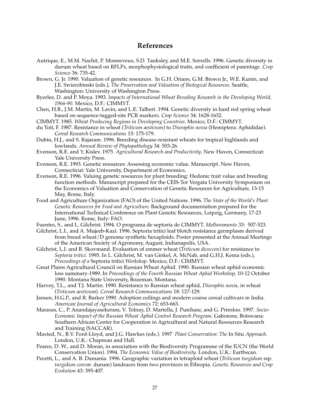### **References**

- Autrique, E., M.M. Nachit, P. Monneveux, S.D. Tanksley, and M.E. Sorrells. 1996. Genetic diversity in durum wheat based on RFLPs, morphophysiological traits, and coefficient of parentage. *Crop Science* 36: 735-42.
- Brown, G. Jr. 1990. Valuation of genetic resources. In G.H. Orians, G.M. Brown Jr., W.E. Kunin, and J.E. Swierzbinski (eds.), *The Preservation and Valuation of Biological Resources*. Seattle, Washington: University of Washington Press.
- Byerlee, D. and P. Moya. 1993. *Impacts of International Wheat Breeding Research in the Developing World, 1966-90*. Mexico, D.F.: CIMMYT.
- Chen, H.B., J.M. Martin, M. Lavin, and L.E. Talbert. 1994. Genetic diversity in hard red spring wheat based on sequence-tagged-site PCR markers. *Crop Science* 34: 1628-1632.
- CIMMYT. 1985. *Wheat Producing Regions in Developing Countries*. Mexico, D.F.: CIMMYT.
- du Toit, F. 1987. Resistance in wheat (*Triticum aestivum*) to *Diuraphis noxia* (Hemiptera: Aphididae). *Cereal Research Communications* 15: 175-179.
- Dubin, H.J., and S. Rajaram. 1996. Breeding disease-resistant wheats for tropical highlands and lowlands. *Annual Review of Phytopathology* 34: 503-26.
- Evenson, R.E. and Y. Kislev. 1975*. Agricultural Research and Productivity*. New Haven, Connecticut: Yale University Press.
- Evenson, R.E. 1993. Genetic resources: Assessing economic value. Manuscript. New Haven, Connecticut: Yale University, Department of Economics.
- Evenson, R.E. 1996. Valuing genetic resources for plant breeding: Hedonic trait value and breeding function methods. Manuscript prepared for the CEIS-Tor Vergata University Symposium on the Economics of Valuation and Conservation of Genetic Resources for Agriculture, 13-15 May, Rome, Italy.
- Food and Agriculture Organization (FAO) of the United Nations. 1996. *The State of the World's Plant Genetic Resources for Food and Agriculture.* Background documentation prepared for the International Technical Conference on Plant Genetic Resources, Leipzig, Germany, 17-23 June, 1996. Rome, Italy: FAO.
- Fuentes, S., and L. Gilchrist. 1994. O programa de septoria de CIMMYT. *Melhoramento* 33: 507-523.
- Gilchrist, L.I., and A. Mujeeb-Kazi. 1996. Septoria tritici leaf blotch resistance germplasm derived from bread wheat/D genome synthetic hexaploids. Poster presented at the Annual Meetings of the American Society of Agronomy, August, Indianapolis, USA.
- Gilchrist, L.I. and B. Skovmand. Evaluation of emmer wheat (*Triticum dicoccon*) for resistance to *Septoria tritici.* 1995. In L. Gilchrist, M. van Ginkel, A. McNab, and G.H.J. Kema (eds.), *Proceedings of a* Septoria tritici *Workshop.* Mexico, D.F.: CIMMYT.
- Great Plains Agricultural Council on Russian Wheat Aphid. 1990. Russian wheat aphid economic loss summary-1989. In *Proceedings of the Fourth Russian Wheat Aphid Workshop*, 10-12 October 1990. Montana State University, Bozeman, Montana.
- Harvey, T.L., and T.J. Martin. 1990. Resistance to Russian wheat aphid, *Diuraphis noxia*, in wheat (*Triticum aestivum*). *Cereal Research Communications* 18: 127-129.
- Jansen, H.G.P., and R. Barker 1990. Adoption ceilings and modern coarse cereal cultivars in India. *American Journal of Agricultural Economics* 72: 653-663.
- Marasas, C., P. Anandajayasekeram, V. Tolnay, D. Martella, J. Purchase, and G. Prinsloo. 1997. *Socio-Economic Impact of the Russian Wheat Aphid Control Research Program.* Gaborone, Botswana: Southern African Center for Cooperation in Agricultural and Natural Resources Research and Training (SACCAR).
- Maxted, N., B.V. Ford-Lloyd, and J.G. Hawkes (eds.). 1997 *Plant Conservation: The* In Situ *Approach.* London, U.K.: Chapman and Hall.
- Pearce, D. W., and D. Moran, in association with the Biodiversity Programme of the IUCN (the World Conservation Union). 1994. *The Economic Value of Biodiversity*. London, U.K.: Earthscan.
- Pecetti, L., and A. B. Damania. 1996. Geographic variation in tetraploid wheat (*Triticum turgidum* ssp*. turgidum convar.* durum) landraces from two provinces in Ethiopia. *Genetic Resources and Crop Evolution* 43: 395-407.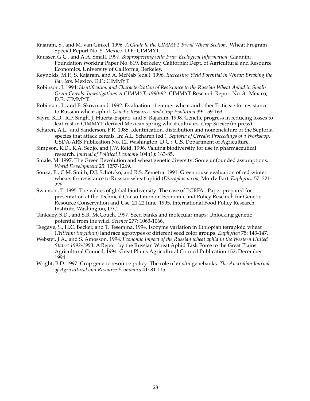- Rajaram, S., and M. van Ginkel. 1996*. A Guide to the CIMMYT Bread Wheat Section*. Wheat Program Special Report No. 5. Mexico, D.F.: CIMMYT.
- Rausser, G.C., and A.A. Small. 1997. *Bioprospecting with Prior Ecological Information.* Giannini Foundation Working Paper No. 819. Berkeley, California: Dept. of Agricultural and Resource Economics, University of California, Berkeley.
- Reynolds, M.P., S. Rajaram, and A. McNab (eds.). 1996. *Increasing Yield Potential in Wheat: Breaking the Barriers.* Mexico, D.F.: CIMMYT.
- Robinson, J. 1994. *Identification and Characterization of Resistance to the Russian Wheat Aphid in Small-Grain Cereals: Investigations at CIMMYT, 1990-92*. CIMMYT Research Report No. 3. Mexico, D.F.: CIMMYT.
- Robinson, J., and B. Skovmand. 1992. Evaluation of emmer wheat and other Triticeae for resistance to Russian wheat aphid. *Genetic Resources and Crop Evolution* 39: 159-163.
- Sayre, K.D., R.P. Singh, J. Huerta-Espino, and S. Rajaram. 1998. Genetic progress in reducing losses to leaf rust in CIMMYT-derived Mexican spring wheat cultivars. *Crop Science* (in press).
- Scharen, A.L., and Sanderson, F.R. 1985. Identification, distribution and nomenclature of the Septoria species that attack cereals. In: A.L. Scharen (ed.), *Septoria of Cereals: Proceedings of a Workshop*. USDA-ARS Publication No. 12. Washington, D.C.: U.S. Department of Agriculture.
- Simpson, R.D., R.A. Sedjo, and J.W. Reid. 1996. Valuing biodiversity for use in pharmaceutical research*. Journal of Political Economy* 104:(1): 163-85.
- Smale, M. 1997. The Green Revolution and wheat genetic diversity: Some unfounded assumptions. *World Development* 25: 1257-1269.
- Souza, E., C.M. Smith, D.J. Schotzko, and R.S. Zemetra. 1991. Greenhouse evaluation of red winter wheats for resistance to Russian wheat aphid (*Diuraphis noxia,* Mordvilko). *Euphytica* 57: 221- 225.
- Swanson, T. 1995. The values of global biodiversity: The case of PGRFA. Paper prepared for presentation at the Technical Consultation on Economic and Policy Research for Genetic Resource Conservation and Use, 21-22 June, 1995, International Food Policy Research Institute, Washington, D.C.
- Tanksley, S.D., and S.R. McCouch. 1997. Seed banks and molecular maps: Unlocking genetic potential from the wild. *Science* 277: 1063-1066.
- Tsegaye, S., H.C. Becker, and T. Tesemma. 1994. Isozyme variation in Ethiopian tetraploid wheat (*Triticum turgidum*) landrace agrotypes of different seed color groups. *Euphytica* 75: 143-147.
- Webster, J.A., and S. Amosson. 1994. *Economic Impact of the Russian wheat aphid in the Western United States: 1992-1993.* A Report by the Russian Wheat Aphid Task Force to the Great Plains Agricultural Council, 1994. Great Plains Agricultural Council Publication 152, December 1994.
- Wright, B.D. 1997. Crop genetic resource policy: The role of *ex situ* genebanks. *The Australian Journal of Agricultural and Resource Economics* 41: 81-115.